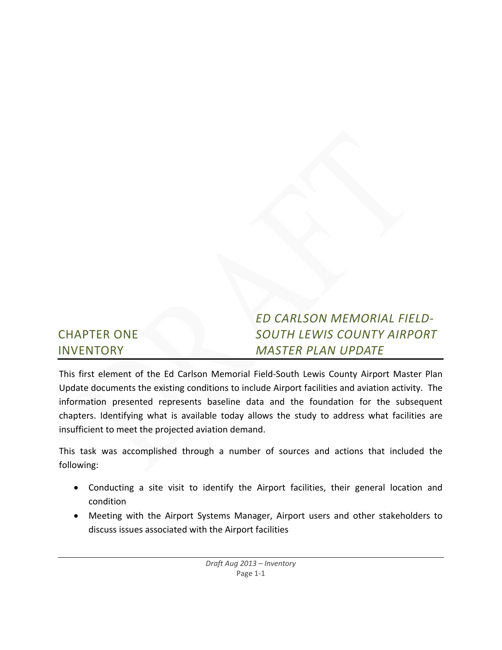|                    | <b>ED CARLSON MEMORIAL FIELD-</b> |
|--------------------|-----------------------------------|
| <b>CHAPTER ONE</b> | <b>SOUTH LEWIS COUNTY AIRPORT</b> |
| <b>INVENTORY</b>   | <b>MASTER PLAN UPDATE</b>         |

This first element of the Ed Carlson Memorial Field‐South Lewis County Airport Master Plan Update documents the existing conditions to include Airport facilities and aviation activity. The information presented represents baseline data and the foundation for the subsequent chapters. Identifying what is available today allows the study to address what facilities are insufficient to meet the projected aviation demand.

This task was accomplished through a number of sources and actions that included the following:

- Conducting a site visit to identify the Airport facilities, their general location and condition
- Meeting with the Airport Systems Manager, Airport users and other stakeholders to discuss issues associated with the Airport facilities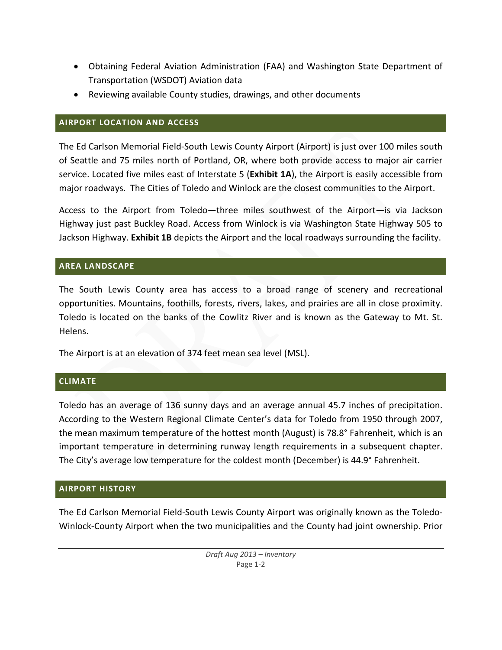- Obtaining Federal Aviation Administration (FAA) and Washington State Department of Transportation (WSDOT) Aviation data
- Reviewing available County studies, drawings, and other documents

## **AIRPORT LOCATION AND ACCESS**

The Ed Carlson Memorial Field‐South Lewis County Airport (Airport) is just over 100 miles south of Seattle and 75 miles north of Portland, OR, where both provide access to major air carrier service. Located five miles east of Interstate 5 (**Exhibit 1A**), the Airport is easily accessible from major roadways. The Cities of Toledo and Winlock are the closest communities to the Airport.

Access to the Airport from Toledo—three miles southwest of the Airport—is via Jackson Highway just past Buckley Road. Access from Winlock is via Washington State Highway 505 to Jackson Highway. **Exhibit 1B** depicts the Airport and the local roadways surrounding the facility.

## **AREA LANDSCAPE**

The South Lewis County area has access to a broad range of scenery and recreational opportunities. Mountains, foothills, forests, rivers, lakes, and prairies are all in close proximity. Toledo is located on the banks of the Cowlitz River and is known as the Gateway to Mt. St. Helens.

The Airport is at an elevation of 374 feet mean sea level (MSL).

## **CLIMATE**

Toledo has an average of 136 sunny days and an average annual 45.7 inches of precipitation. According to the Western Regional Climate Center's data for Toledo from 1950 through 2007, the mean maximum temperature of the hottest month (August) is 78.8° Fahrenheit, which is an important temperature in determining runway length requirements in a subsequent chapter. The City's average low temperature for the coldest month (December) is 44.9° Fahrenheit.

## **AIRPORT HISTORY**

The Ed Carlson Memorial Field‐South Lewis County Airport was originally known as the Toledo‐ Winlock‐County Airport when the two municipalities and the County had joint ownership. Prior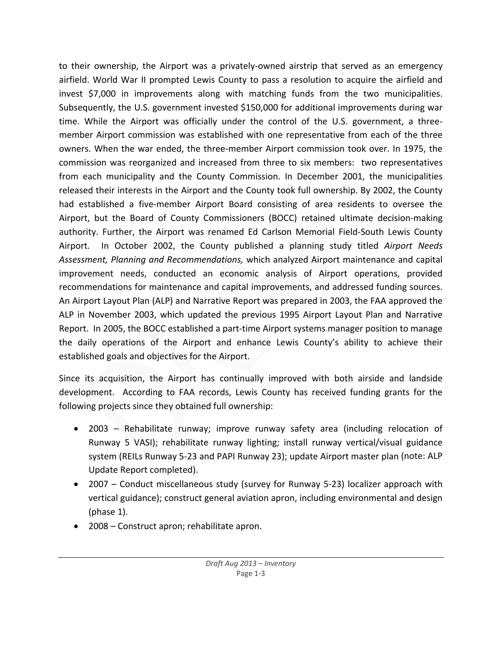to their ownership, the Airport was a privately‐owned airstrip that served as an emergency airfield. World War II prompted Lewis County to pass a resolution to acquire the airfield and invest \$7,000 in improvements along with matching funds from the two municipalities. Subsequently, the U.S. government invested \$150,000 for additional improvements during war time. While the Airport was officially under the control of the U.S. government, a three‐ member Airport commission was established with one representative from each of the three owners. When the war ended, the three‐member Airport commission took over. In 1975, the commission was reorganized and increased from three to six members: two representatives from each municipality and the County Commission. In December 2001, the municipalities released their interests in the Airport and the County took full ownership. By 2002, the County had established a five-member Airport Board consisting of area residents to oversee the Airport, but the Board of County Commissioners (BOCC) retained ultimate decision‐making authority. Further, the Airport was renamed Ed Carlson Memorial Field‐South Lewis County Airport. In October 2002, the County published a planning study titled *Airport Needs Assessment, Planning and Recommendations,* which analyzed Airport maintenance and capital improvement needs, conducted an economic analysis of Airport operations, provided recommendations for maintenance and capital improvements, and addressed funding sources. An Airport Layout Plan (ALP) and Narrative Report was prepared in 2003, the FAA approved the ALP in November 2003, which updated the previous 1995 Airport Layout Plan and Narrative Report. In 2005, the BOCC established a part-time Airport systems manager position to manage the daily operations of the Airport and enhance Lewis County's ability to achieve their established goals and objectives for the Airport.

Since its acquisition, the Airport has continually improved with both airside and landside development. According to FAA records, Lewis County has received funding grants for the following projects since they obtained full ownership:

- 2003 Rehabilitate runway; improve runway safety area (including relocation of Runway 5 VASI); rehabilitate runway lighting; install runway vertical/visual guidance system (REILs Runway 5‐23 and PAPI Runway 23); update Airport master plan (note: ALP Update Report completed).
- 2007 Conduct miscellaneous study (survey for Runway 5-23) localizer approach with vertical guidance); construct general aviation apron, including environmental and design (phase 1).
- 2008 Construct apron; rehabilitate apron.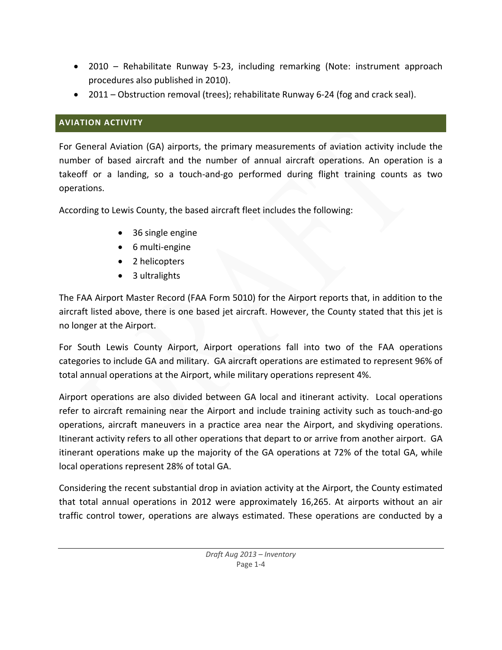- 2010 Rehabilitate Runway 5-23, including remarking (Note: instrument approach procedures also published in 2010).
- 2011 Obstruction removal (trees); rehabilitate Runway 6-24 (fog and crack seal).

# **AVIATION ACTIVITY**

For General Aviation (GA) airports, the primary measurements of aviation activity include the number of based aircraft and the number of annual aircraft operations. An operation is a takeoff or a landing, so a touch‐and‐go performed during flight training counts as two operations.

According to Lewis County, the based aircraft fleet includes the following:

- 36 single engine
- 6 multi-engine
- 2 helicopters
- 3 ultralights

The FAA Airport Master Record (FAA Form 5010) for the Airport reports that, in addition to the aircraft listed above, there is one based jet aircraft. However, the County stated that this jet is no longer at the Airport.

For South Lewis County Airport, Airport operations fall into two of the FAA operations categories to include GA and military. GA aircraft operations are estimated to represent 96% of total annual operations at the Airport, while military operations represent 4%.

Airport operations are also divided between GA local and itinerant activity. Local operations refer to aircraft remaining near the Airport and include training activity such as touch‐and‐go operations, aircraft maneuvers in a practice area near the Airport, and skydiving operations. Itinerant activity refers to all other operations that depart to or arrive from another airport. GA itinerant operations make up the majority of the GA operations at 72% of the total GA, while local operations represent 28% of total GA.

Considering the recent substantial drop in aviation activity at the Airport, the County estimated that total annual operations in 2012 were approximately 16,265. At airports without an air traffic control tower, operations are always estimated. These operations are conducted by a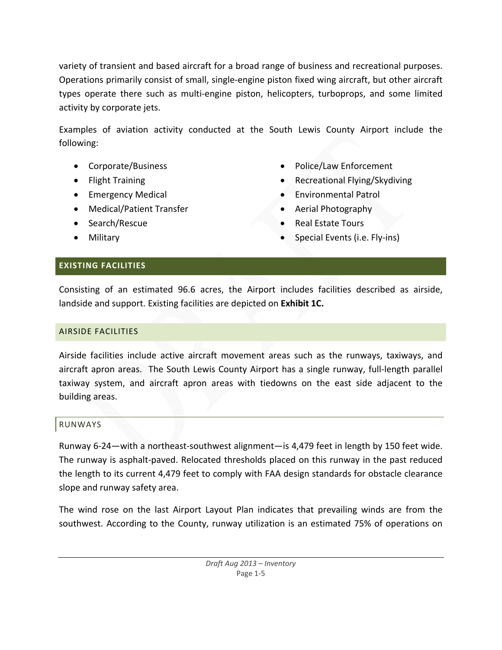variety of transient and based aircraft for a broad range of business and recreational purposes. Operations primarily consist of small, single‐engine piston fixed wing aircraft, but other aircraft types operate there such as multi‐engine piston, helicopters, turboprops, and some limited activity by corporate jets.

Examples of aviation activity conducted at the South Lewis County Airport include the following:

- Corporate/Business
- Flight Training
- Emergency Medical
- Medical/Patient Transfer
- Search/Rescue
- Military
- Police/Law Enforcement
- Recreational Flying/Skydiving
- Environmental Patrol
- Aerial Photography
- Real Estate Tours
- Special Events (i.e. Fly‐ins)

## **EXISTING FACILITIES**

Consisting of an estimated 96.6 acres, the Airport includes facilities described as airside, landside and support. Existing facilities are depicted on **Exhibit 1C.**

## AIRSIDE FACILITIES

Airside facilities include active aircraft movement areas such as the runways, taxiways, and aircraft apron areas. The South Lewis County Airport has a single runway, full-length parallel taxiway system, and aircraft apron areas with tiedowns on the east side adjacent to the building areas.

#### RUNWAYS

Runway 6‐24—with a northeast‐southwest alignment—is 4,479 feet in length by 150 feet wide. The runway is asphalt‐paved. Relocated thresholds placed on this runway in the past reduced the length to its current 4,479 feet to comply with FAA design standards for obstacle clearance slope and runway safety area.

The wind rose on the last Airport Layout Plan indicates that prevailing winds are from the southwest. According to the County, runway utilization is an estimated 75% of operations on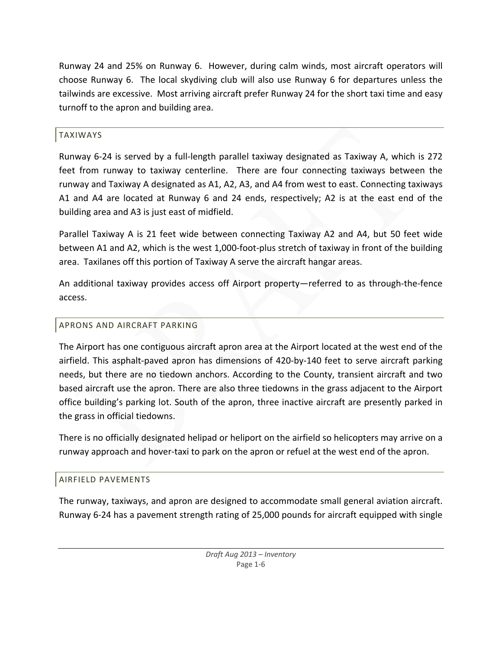Runway 24 and 25% on Runway 6. However, during calm winds, most aircraft operators will choose Runway 6. The local skydiving club will also use Runway 6 for departures unless the tailwinds are excessive. Most arriving aircraft prefer Runway 24 for the short taxi time and easy turnoff to the apron and building area.

## TAXIWAYS

Runway 6‐24 is served by a full‐length parallel taxiway designated as Taxiway A, which is 272 feet from runway to taxiway centerline. There are four connecting taxiways between the runway and Taxiway A designated as A1, A2, A3, and A4 from west to east. Connecting taxiways A1 and A4 are located at Runway 6 and 24 ends, respectively; A2 is at the east end of the building area and A3 is just east of midfield.

Parallel Taxiway A is 21 feet wide between connecting Taxiway A2 and A4, but 50 feet wide between A1 and A2, which is the west 1,000-foot-plus stretch of taxiway in front of the building area. Taxilanes off this portion of Taxiway A serve the aircraft hangar areas.

An additional taxiway provides access off Airport property—referred to as through‐the‐fence access.

## APRONS AND AIRCRAFT PARKING

The Airport has one contiguous aircraft apron area at the Airport located at the west end of the airfield. This asphalt‐paved apron has dimensions of 420‐by‐140 feet to serve aircraft parking needs, but there are no tiedown anchors. According to the County, transient aircraft and two based aircraft use the apron. There are also three tiedowns in the grass adjacent to the Airport office building's parking lot. South of the apron, three inactive aircraft are presently parked in the grass in official tiedowns.

There is no officially designated helipad or heliport on the airfield so helicopters may arrive on a runway approach and hover‐taxi to park on the apron or refuel at the west end of the apron.

#### AIRFIELD PAVEMENTS

The runway, taxiways, and apron are designed to accommodate small general aviation aircraft. Runway 6‐24 has a pavement strength rating of 25,000 pounds for aircraft equipped with single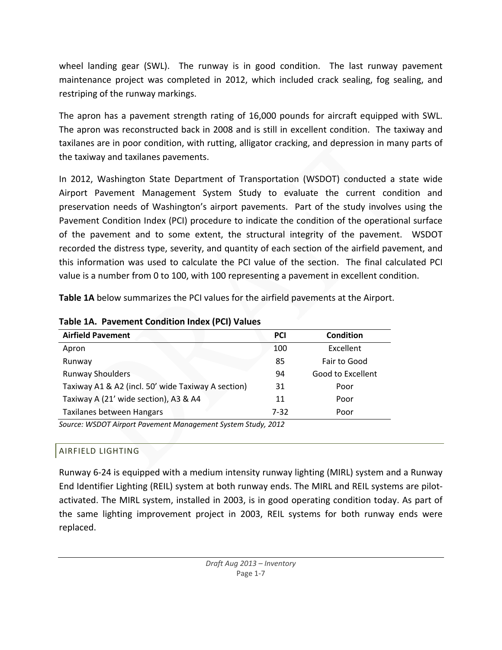wheel landing gear (SWL). The runway is in good condition. The last runway pavement maintenance project was completed in 2012, which included crack sealing, fog sealing, and restriping of the runway markings.

The apron has a pavement strength rating of 16,000 pounds for aircraft equipped with SWL. The apron was reconstructed back in 2008 and is still in excellent condition. The taxiway and taxilanes are in poor condition, with rutting, alligator cracking, and depression in many parts of the taxiway and taxilanes pavements.

In 2012, Washington State Department of Transportation (WSDOT) conducted a state wide Airport Pavement Management System Study to evaluate the current condition and preservation needs of Washington's airport pavements. Part of the study involves using the Pavement Condition Index (PCI) procedure to indicate the condition of the operational surface of the pavement and to some extent, the structural integrity of the pavement. WSDOT recorded the distress type, severity, and quantity of each section of the airfield pavement, and this information was used to calculate the PCI value of the section. The final calculated PCI value is a number from 0 to 100, with 100 representing a pavement in excellent condition.

**Table 1A** below summarizes the PCI values for the airfield pavements at the Airport.

| <b>Airfield Pavement</b>                                     | <b>PCI</b> | <b>Condition</b>  |
|--------------------------------------------------------------|------------|-------------------|
| Apron                                                        | 100        | Excellent         |
| Runway                                                       | 85         | Fair to Good      |
| <b>Runway Shoulders</b>                                      | 94         | Good to Excellent |
| Taxiway A1 & A2 (incl. 50' wide Taxiway A section)           | 31         | Poor              |
| Taxiway A (21' wide section), A3 & A4                        | 11         | Poor              |
| Taxilanes between Hangars                                    | $7 - 32$   | Poor              |
| Source: WSDOT Airport Pavement Management System Study, 2012 |            |                   |

**Table 1A. Pavement Condition Index (PCI) Values**

# AIRFIELD LIGHTING

Runway 6‐24 is equipped with a medium intensity runway lighting (MIRL) system and a Runway End Identifier Lighting (REIL) system at both runway ends. The MIRL and REIL systems are pilot‐ activated. The MIRL system, installed in 2003, is in good operating condition today. As part of the same lighting improvement project in 2003, REIL systems for both runway ends were replaced.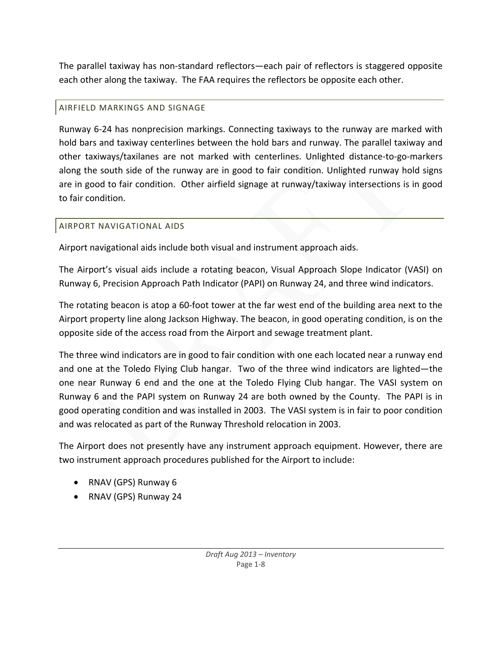The parallel taxiway has non‐standard reflectors—each pair of reflectors is staggered opposite each other along the taxiway. The FAA requires the reflectors be opposite each other.

# AIRFIELD MARKINGS AND SIGNAGE

Runway 6‐24 has nonprecision markings. Connecting taxiways to the runway are marked with hold bars and taxiway centerlines between the hold bars and runway. The parallel taxiway and other taxiways/taxilanes are not marked with centerlines. Unlighted distance‐to‐go‐markers along the south side of the runway are in good to fair condition. Unlighted runway hold signs are in good to fair condition. Other airfield signage at runway/taxiway intersections is in good to fair condition.

# AIRPORT NAVIGATIONAL AIDS

Airport navigational aids include both visual and instrument approach aids.

The Airport's visual aids include a rotating beacon, Visual Approach Slope Indicator (VASI) on Runway 6, Precision Approach Path Indicator (PAPI) on Runway 24, and three wind indicators.

The rotating beacon is atop a 60‐foot tower at the far west end of the building area next to the Airport property line along Jackson Highway. The beacon, in good operating condition, is on the opposite side of the access road from the Airport and sewage treatment plant.

The three wind indicators are in good to fair condition with one each located near a runway end and one at the Toledo Flying Club hangar. Two of the three wind indicators are lighted—the one near Runway 6 end and the one at the Toledo Flying Club hangar. The VASI system on Runway 6 and the PAPI system on Runway 24 are both owned by the County. The PAPI is in good operating condition and was installed in 2003. The VASI system is in fair to poor condition and was relocated as part of the Runway Threshold relocation in 2003.

The Airport does not presently have any instrument approach equipment. However, there are two instrument approach procedures published for the Airport to include:

- RNAV (GPS) Runway 6
- RNAV (GPS) Runway 24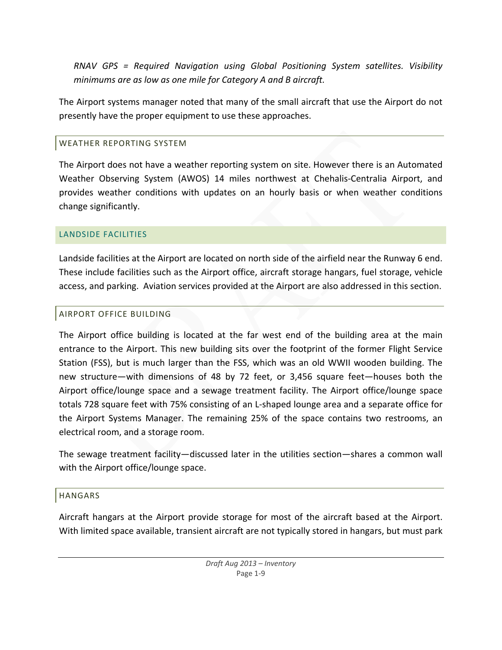*RNAV GPS = Required Navigation using Global Positioning System satellites. Visibility minimums are as low as one mile for Category A and B aircraft.* 

The Airport systems manager noted that many of the small aircraft that use the Airport do not presently have the proper equipment to use these approaches.

# WEATHER REPORTING SYSTEM

The Airport does not have a weather reporting system on site. However there is an Automated Weather Observing System (AWOS) 14 miles northwest at Chehalis‐Centralia Airport, and provides weather conditions with updates on an hourly basis or when weather conditions change significantly.

# LANDSIDE FACILITIES

Landside facilities at the Airport are located on north side of the airfield near the Runway 6 end. These include facilities such as the Airport office, aircraft storage hangars, fuel storage, vehicle access, and parking. Aviation services provided at the Airport are also addressed in this section.

# AIRPORT OFFICE BUILDING

The Airport office building is located at the far west end of the building area at the main entrance to the Airport. This new building sits over the footprint of the former Flight Service Station (FSS), but is much larger than the FSS, which was an old WWII wooden building. The new structure—with dimensions of 48 by 72 feet, or 3,456 square feet—houses both the Airport office/lounge space and a sewage treatment facility. The Airport office/lounge space totals 728 square feet with 75% consisting of an L‐shaped lounge area and a separate office for the Airport Systems Manager. The remaining 25% of the space contains two restrooms, an electrical room, and a storage room.

The sewage treatment facility—discussed later in the utilities section—shares a common wall with the Airport office/lounge space.

# HANGARS

Aircraft hangars at the Airport provide storage for most of the aircraft based at the Airport. With limited space available, transient aircraft are not typically stored in hangars, but must park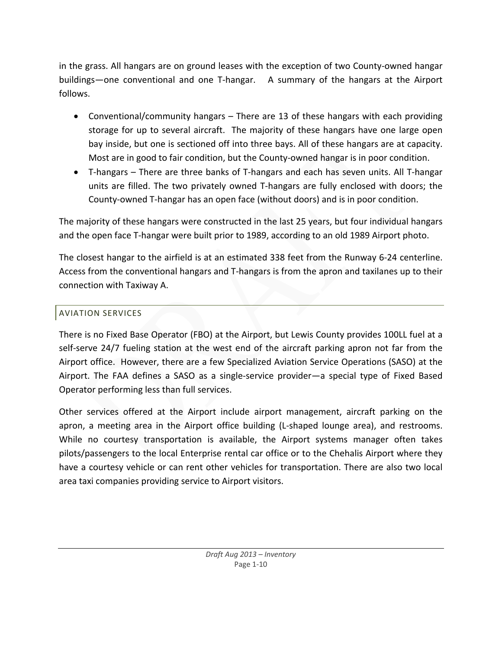in the grass. All hangars are on ground leases with the exception of two County‐owned hangar buildings—one conventional and one T‐hangar. A summary of the hangars at the Airport follows.

- Conventional/community hangars There are 13 of these hangars with each providing storage for up to several aircraft. The majority of these hangars have one large open bay inside, but one is sectioned off into three bays. All of these hangars are at capacity. Most are in good to fair condition, but the County‐owned hangar is in poor condition.
- T-hangars There are three banks of T-hangars and each has seven units. All T-hangar units are filled. The two privately owned T‐hangars are fully enclosed with doors; the County‐owned T‐hangar has an open face (without doors) and is in poor condition.

The majority of these hangars were constructed in the last 25 years, but four individual hangars and the open face T-hangar were built prior to 1989, according to an old 1989 Airport photo.

The closest hangar to the airfield is at an estimated 338 feet from the Runway 6‐24 centerline. Access from the conventional hangars and T‐hangars is from the apron and taxilanes up to their connection with Taxiway A.

## AVIATION SERVICES

There is no Fixed Base Operator (FBO) at the Airport, but Lewis County provides 100LL fuel at a self-serve 24/7 fueling station at the west end of the aircraft parking apron not far from the Airport office. However, there are a few Specialized Aviation Service Operations (SASO) at the Airport. The FAA defines a SASO as a single‐service provider—a special type of Fixed Based Operator performing less than full services.

Other services offered at the Airport include airport management, aircraft parking on the apron, a meeting area in the Airport office building (L‐shaped lounge area), and restrooms. While no courtesy transportation is available, the Airport systems manager often takes pilots/passengers to the local Enterprise rental car office or to the Chehalis Airport where they have a courtesy vehicle or can rent other vehicles for transportation. There are also two local area taxi companies providing service to Airport visitors.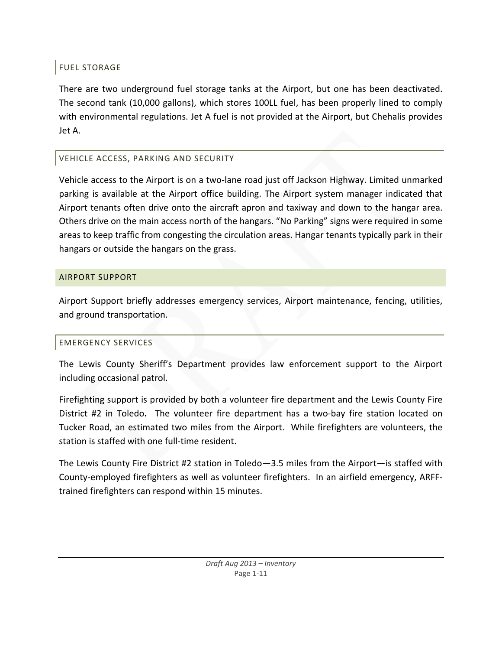# FUEL STORAGE

There are two underground fuel storage tanks at the Airport, but one has been deactivated. The second tank (10,000 gallons), which stores 100LL fuel, has been properly lined to comply with environmental regulations. Jet A fuel is not provided at the Airport, but Chehalis provides Jet A.

# VEHICLE ACCESS, PARKING AND SECURITY

Vehicle access to the Airport is on a two-lane road just off Jackson Highway. Limited unmarked parking is available at the Airport office building. The Airport system manager indicated that Airport tenants often drive onto the aircraft apron and taxiway and down to the hangar area. Others drive on the main access north of the hangars. "No Parking" signs were required in some areas to keep traffic from congesting the circulation areas. Hangar tenants typically park in their hangars or outside the hangars on the grass.

# AIRPORT SUPPORT

Airport Support briefly addresses emergency services, Airport maintenance, fencing, utilities, and ground transportation.

# EMERGENCY SERVICES

The Lewis County Sheriff's Department provides law enforcement support to the Airport including occasional patrol.

Firefighting support is provided by both a volunteer fire department and the Lewis County Fire District #2 in Toledo. The volunteer fire department has a two-bay fire station located on Tucker Road, an estimated two miles from the Airport. While firefighters are volunteers, the station is staffed with one full‐time resident.

The Lewis County Fire District #2 station in Toledo—3.5 miles from the Airport—is staffed with County‐employed firefighters as well as volunteer firefighters. In an airfield emergency, ARFF‐ trained firefighters can respond within 15 minutes.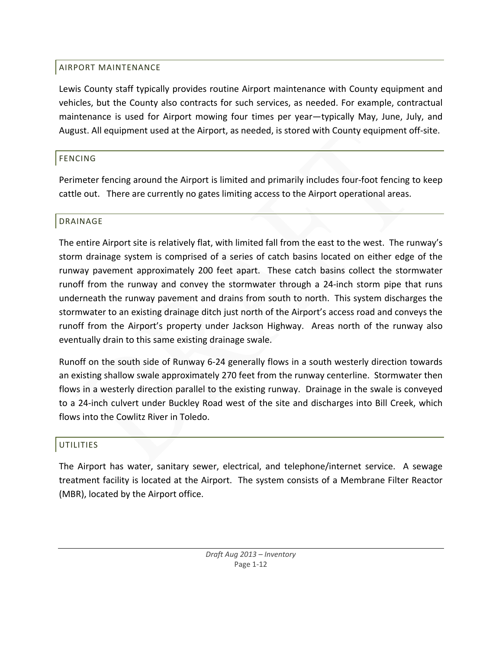# AIRPORT MAINTENANCE

Lewis County staff typically provides routine Airport maintenance with County equipment and vehicles, but the County also contracts for such services, as needed. For example, contractual maintenance is used for Airport mowing four times per year—typically May, June, July, and August. All equipment used at the Airport, as needed, is stored with County equipment off‐site.

# FENCING

Perimeter fencing around the Airport is limited and primarily includes four‐foot fencing to keep cattle out. There are currently no gates limiting access to the Airport operational areas.

## DRAINAGE

The entire Airport site is relatively flat, with limited fall from the east to the west. The runway's storm drainage system is comprised of a series of catch basins located on either edge of the runway pavement approximately 200 feet apart. These catch basins collect the stormwater runoff from the runway and convey the stormwater through a 24‐inch storm pipe that runs underneath the runway pavement and drains from south to north. This system discharges the stormwater to an existing drainage ditch just north of the Airport's access road and conveys the runoff from the Airport's property under Jackson Highway. Areas north of the runway also eventually drain to this same existing drainage swale.

Runoff on the south side of Runway 6‐24 generally flows in a south westerly direction towards an existing shallow swale approximately 270 feet from the runway centerline. Stormwater then flows in a westerly direction parallel to the existing runway. Drainage in the swale is conveyed to a 24‐inch culvert under Buckley Road west of the site and discharges into Bill Creek, which flows into the Cowlitz River in Toledo.

# UTILITIES

The Airport has water, sanitary sewer, electrical, and telephone/internet service. A sewage treatment facility is located at the Airport. The system consists of a Membrane Filter Reactor (MBR), located by the Airport office.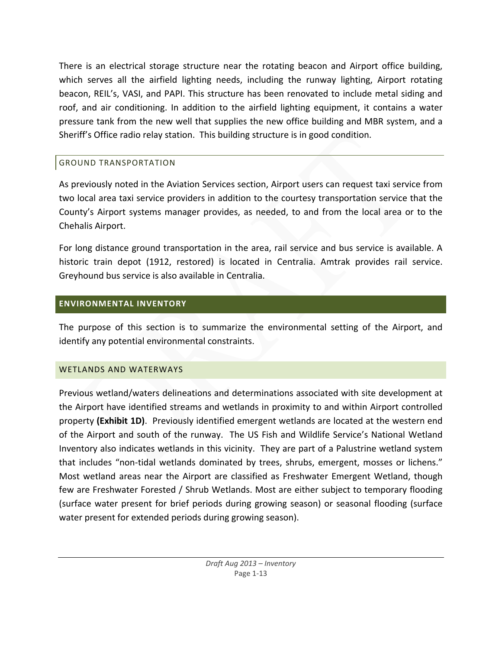There is an electrical storage structure near the rotating beacon and Airport office building, which serves all the airfield lighting needs, including the runway lighting, Airport rotating beacon, REIL's, VASI, and PAPI. This structure has been renovated to include metal siding and roof, and air conditioning. In addition to the airfield lighting equipment, it contains a water pressure tank from the new well that supplies the new office building and MBR system, and a Sheriff's Office radio relay station. This building structure is in good condition.

# GROUND TRANSPORTATION

As previously noted in the Aviation Services section, Airport users can request taxi service from two local area taxi service providers in addition to the courtesy transportation service that the County's Airport systems manager provides, as needed, to and from the local area or to the Chehalis Airport.

For long distance ground transportation in the area, rail service and bus service is available. A historic train depot (1912, restored) is located in Centralia. Amtrak provides rail service. Greyhound bus service is also available in Centralia.

# **ENVIRONMENTAL INVENTORY**

The purpose of this section is to summarize the environmental setting of the Airport, and identify any potential environmental constraints.

# WETLANDS AND WATERWAYS

Previous wetland/waters delineations and determinations associated with site development at the Airport have identified streams and wetlands in proximity to and within Airport controlled property **(Exhibit 1D)**. Previously identified emergent wetlands are located at the western end of the Airport and south of the runway. The US Fish and Wildlife Service's National Wetland Inventory also indicates wetlands in this vicinity. They are part of a Palustrine wetland system that includes "non-tidal wetlands dominated by trees, shrubs, emergent, mosses or lichens." Most wetland areas near the Airport are classified as Freshwater Emergent Wetland, though few are Freshwater Forested / Shrub Wetlands. Most are either subject to temporary flooding (surface water present for brief periods during growing season) or seasonal flooding (surface water present for extended periods during growing season).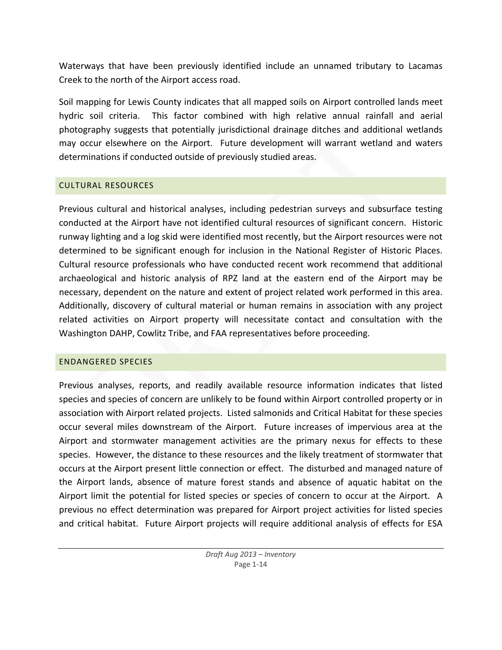Waterways that have been previously identified include an unnamed tributary to Lacamas Creek to the north of the Airport access road.

Soil mapping for Lewis County indicates that all mapped soils on Airport controlled lands meet hydric soil criteria. This factor combined with high relative annual rainfall and aerial photography suggests that potentially jurisdictional drainage ditches and additional wetlands may occur elsewhere on the Airport. Future development will warrant wetland and waters determinations if conducted outside of previously studied areas.

## CULTURAL RESOURCES

Previous cultural and historical analyses, including pedestrian surveys and subsurface testing conducted at the Airport have not identified cultural resources of significant concern. Historic runway lighting and a log skid were identified most recently, but the Airport resources were not determined to be significant enough for inclusion in the National Register of Historic Places. Cultural resource professionals who have conducted recent work recommend that additional archaeological and historic analysis of RPZ land at the eastern end of the Airport may be necessary, dependent on the nature and extent of project related work performed in this area. Additionally, discovery of cultural material or human remains in association with any project related activities on Airport property will necessitate contact and consultation with the Washington DAHP, Cowlitz Tribe, and FAA representatives before proceeding.

## ENDANGERED SPECIES

Previous analyses, reports, and readily available resource information indicates that listed species and species of concern are unlikely to be found within Airport controlled property or in association with Airport related projects. Listed salmonids and Critical Habitat for these species occur several miles downstream of the Airport. Future increases of impervious area at the Airport and stormwater management activities are the primary nexus for effects to these species. However, the distance to these resources and the likely treatment of stormwater that occurs at the Airport present little connection or effect. The disturbed and managed nature of the Airport lands, absence of mature forest stands and absence of aquatic habitat on the Airport limit the potential for listed species or species of concern to occur at the Airport. A previous no effect determination was prepared for Airport project activities for listed species and critical habitat. Future Airport projects will require additional analysis of effects for ESA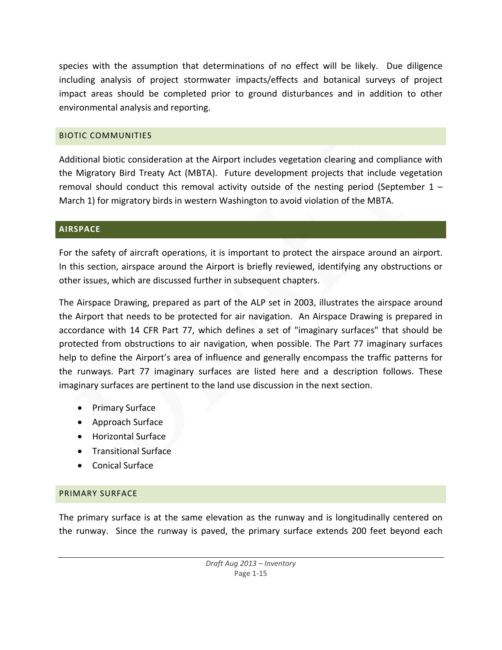species with the assumption that determinations of no effect will be likely. Due diligence including analysis of project stormwater impacts/effects and botanical surveys of project impact areas should be completed prior to ground disturbances and in addition to other environmental analysis and reporting.

## BIOTIC COMMUNITIES

Additional biotic consideration at the Airport includes vegetation clearing and compliance with the Migratory Bird Treaty Act (MBTA). Future development projects that include vegetation removal should conduct this removal activity outside of the nesting period (September  $1 -$ March 1) for migratory birds in western Washington to avoid violation of the MBTA.

## **AIRSPACE**

For the safety of aircraft operations, it is important to protect the airspace around an airport. In this section, airspace around the Airport is briefly reviewed, identifying any obstructions or other issues, which are discussed further in subsequent chapters.

The Airspace Drawing, prepared as part of the ALP set in 2003, illustrates the airspace around the Airport that needs to be protected for air navigation. An Airspace Drawing is prepared in accordance with 14 CFR Part 77, which defines a set of "imaginary surfaces" that should be protected from obstructions to air navigation, when possible. The Part 77 imaginary surfaces help to define the Airport's area of influence and generally encompass the traffic patterns for the runways. Part 77 imaginary surfaces are listed here and a description follows. These imaginary surfaces are pertinent to the land use discussion in the next section.

- Primary Surface
- Approach Surface
- Horizontal Surface
- Transitional Surface
- Conical Surface

# PRIMARY SURFACE

The primary surface is at the same elevation as the runway and is longitudinally centered on the runway. Since the runway is paved, the primary surface extends 200 feet beyond each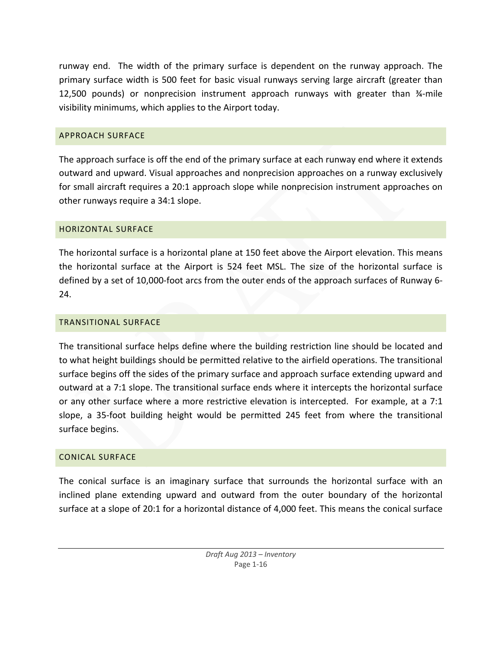runway end. The width of the primary surface is dependent on the runway approach. The primary surface width is 500 feet for basic visual runways serving large aircraft (greater than 12,500 pounds) or nonprecision instrument approach runways with greater than ¾‐mile visibility minimums, which applies to the Airport today.

## APPROACH SURFACE

The approach surface is off the end of the primary surface at each runway end where it extends outward and upward. Visual approaches and nonprecision approaches on a runway exclusively for small aircraft requires a 20:1 approach slope while nonprecision instrument approaches on other runways require a 34:1 slope.

### HORIZONTAL SURFACE

The horizontal surface is a horizontal plane at 150 feet above the Airport elevation. This means the horizontal surface at the Airport is 524 feet MSL. The size of the horizontal surface is defined by a set of 10,000-foot arcs from the outer ends of the approach surfaces of Runway 6-24.

## TRANSITIONAL SURFACE

The transitional surface helps define where the building restriction line should be located and to what height buildings should be permitted relative to the airfield operations. The transitional surface begins off the sides of the primary surface and approach surface extending upward and outward at a 7:1 slope. The transitional surface ends where it intercepts the horizontal surface or any other surface where a more restrictive elevation is intercepted. For example, at a 7:1 slope, a 35‐foot building height would be permitted 245 feet from where the transitional surface begins.

#### CONICAL SURFACE

The conical surface is an imaginary surface that surrounds the horizontal surface with an inclined plane extending upward and outward from the outer boundary of the horizontal surface at a slope of 20:1 for a horizontal distance of 4,000 feet. This means the conical surface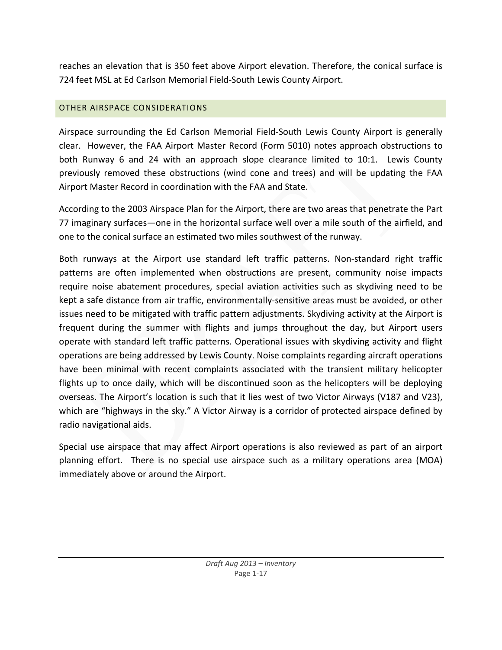reaches an elevation that is 350 feet above Airport elevation. Therefore, the conical surface is 724 feet MSL at Ed Carlson Memorial Field‐South Lewis County Airport.

## OTHER AIRSPACE CONSIDERATIONS

Airspace surrounding the Ed Carlson Memorial Field‐South Lewis County Airport is generally clear. However, the FAA Airport Master Record (Form 5010) notes approach obstructions to both Runway 6 and 24 with an approach slope clearance limited to 10:1. Lewis County previously removed these obstructions (wind cone and trees) and will be updating the FAA Airport Master Record in coordination with the FAA and State.

According to the 2003 Airspace Plan for the Airport, there are two areas that penetrate the Part 77 imaginary surfaces—one in the horizontal surface well over a mile south of the airfield, and one to the conical surface an estimated two miles southwest of the runway.

Both runways at the Airport use standard left traffic patterns. Non-standard right traffic patterns are often implemented when obstructions are present, community noise impacts require noise abatement procedures, special aviation activities such as skydiving need to be kept a safe distance from air traffic, environmentally‐sensitive areas must be avoided, or other issues need to be mitigated with traffic pattern adjustments. Skydiving activity at the Airport is frequent during the summer with flights and jumps throughout the day, but Airport users operate with standard left traffic patterns. Operational issues with skydiving activity and flight operations are being addressed by Lewis County. Noise complaints regarding aircraft operations have been minimal with recent complaints associated with the transient military helicopter flights up to once daily, which will be discontinued soon as the helicopters will be deploying overseas. The Airport's location is such that it lies west of two Victor Airways (V187 and V23), which are "highways in the sky." A Victor Airway is a corridor of protected airspace defined by radio navigational aids.

Special use airspace that may affect Airport operations is also reviewed as part of an airport planning effort. There is no special use airspace such as a military operations area (MOA) immediately above or around the Airport.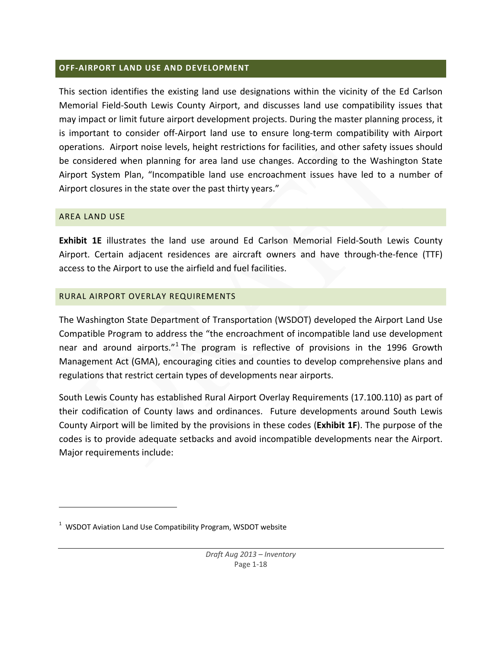#### **OFF‐AIRPORT LAND USE AND DEVELOPMENT**

This section identifies the existing land use designations within the vicinity of the Ed Carlson Memorial Field‐South Lewis County Airport, and discusses land use compatibility issues that may impact or limit future airport development projects. During the master planning process, it is important to consider off‐Airport land use to ensure long‐term compatibility with Airport operations. Airport noise levels, height restrictions for facilities, and other safety issues should be considered when planning for area land use changes. According to the Washington State Airport System Plan, "Incompatible land use encroachment issues have led to a number of Airport closures in the state over the past thirty years."

#### AREA LAND USE

**Exhibit 1E** illustrates the land use around Ed Carlson Memorial Field‐South Lewis County Airport. Certain adjacent residences are aircraft owners and have through-the-fence (TTF) access to the Airport to use the airfield and fuel facilities.

### RURAL AIRPORT OVERLAY REQUIREMENTS

The Washington State Department of Transportation (WSDOT) developed the Airport Land Use Compatible Program to address the "the encroachment of incompatible land use development near and around airports."<sup>1</sup> The program is reflective of provisions in the 1996 Growth Management Act (GMA), encouraging cities and counties to develop comprehensive plans and regulations that restrict certain types of developments near airports.

South Lewis County has established Rural Airport Overlay Requirements (17.100.110) as part of their codification of County laws and ordinances. Future developments around South Lewis County Airport will be limited by the provisions in these codes (**Exhibit 1F**). The purpose of the codes is to provide adequate setbacks and avoid incompatible developments near the Airport. Major requirements include:

 $1$  WSDOT Aviation Land Use Compatibility Program, WSDOT website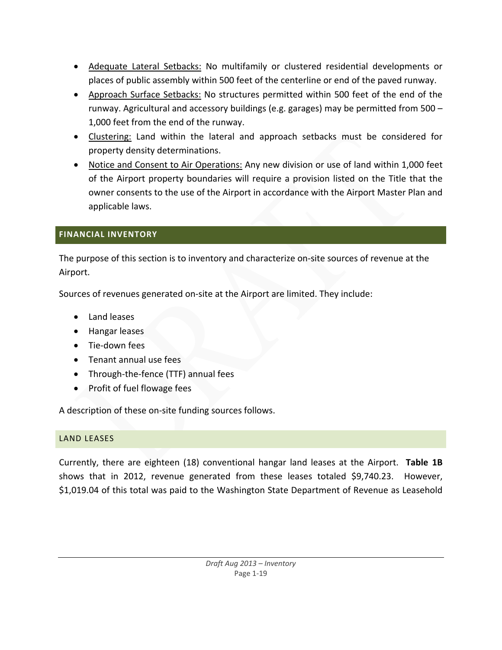- Adequate Lateral Setbacks: No multifamily or clustered residential developments or places of public assembly within 500 feet of the centerline or end of the paved runway.
- Approach Surface Setbacks: No structures permitted within 500 feet of the end of the runway. Agricultural and accessory buildings (e.g. garages) may be permitted from 500 – 1,000 feet from the end of the runway.
- Clustering: Land within the lateral and approach setbacks must be considered for property density determinations.
- Notice and Consent to Air Operations: Any new division or use of land within 1,000 feet of the Airport property boundaries will require a provision listed on the Title that the owner consents to the use of the Airport in accordance with the Airport Master Plan and applicable laws.

# **FINANCIAL INVENTORY**

The purpose of this section is to inventory and characterize on‐site sources of revenue at the Airport.

Sources of revenues generated on‐site at the Airport are limited. They include:

- Land leases
- **•** Hangar leases
- Tie-down fees
- Tenant annual use fees
- Through-the-fence (TTF) annual fees
- Profit of fuel flowage fees

A description of these on‐site funding sources follows.

# LAND LEASES

Currently, there are eighteen (18) conventional hangar land leases at the Airport. **Table 1B** shows that in 2012, revenue generated from these leases totaled \$9,740.23. However, \$1,019.04 of this total was paid to the Washington State Department of Revenue as Leasehold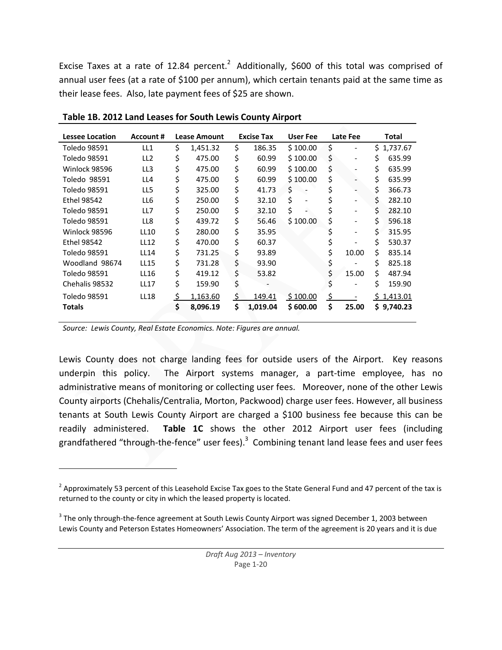Excise Taxes at a rate of 12.84 percent.<sup>2</sup> Additionally, \$600 of this total was comprised of annual user fees (at a rate of \$100 per annum), which certain tenants paid at the same time as their lease fees. Also, late payment fees of \$25 are shown.

| <b>Lessee Location</b> | Account #       | <b>Lease Amount</b> |          |     | <b>Excise Tax</b> | User Fee | Late Fee                       | Total |            |  |
|------------------------|-----------------|---------------------|----------|-----|-------------------|----------|--------------------------------|-------|------------|--|
| Toledo 98591           | LL <sub>1</sub> | \$                  | 1,451.32 | \$  | 186.35            | \$100.00 | \$                             | \$    | 1,737.67   |  |
| Toledo 98591           | LL <sub>2</sub> | \$                  | 475.00   | \$  | 60.99             | \$100.00 | \$<br>$\overline{\phantom{0}}$ | \$    | 635.99     |  |
| Winlock 98596          | LL3             | \$                  | 475.00   | \$  | 60.99             | \$100.00 | \$<br>-                        | \$    | 635.99     |  |
| Toledo 98591           | LL4             | \$                  | 475.00   | \$  | 60.99             | \$100.00 | \$<br>$\overline{\phantom{0}}$ | \$    | 635.99     |  |
| Toledo 98591           | LL5             | \$                  | 325.00   | \$  | 41.73             | \$       | \$<br>$\overline{\phantom{0}}$ | \$    | 366.73     |  |
| <b>Ethel 98542</b>     | LL6             | \$                  | 250.00   | \$  | 32.10             | \$       | $\overline{\phantom{0}}$       | \$    | 282.10     |  |
| Toledo 98591           | LL7             | \$                  | 250.00   | \$  | 32.10             | \$       | \$<br>$\overline{\phantom{0}}$ | \$    | 282.10     |  |
| Toledo 98591           | LL8             | \$                  | 439.72   | \$  | 56.46             | \$100.00 | \$<br>$\overline{\phantom{0}}$ | \$    | 596.18     |  |
| Winlock 98596          | LL10            | \$                  | 280.00   | \$  | 35.95             |          |                                | \$    | 315.95     |  |
| Ethel 98542            | <b>LL12</b>     | \$                  | 470.00   | \$  | 60.37             |          | \$                             | \$    | 530.37     |  |
| Toledo 98591           | LL14            | \$                  | 731.25   | \$  | 93.89             |          | \$<br>10.00                    | \$    | 835.14     |  |
| Woodland 98674         | LL15            | \$                  | 731.28   | \$  | 93.90             |          | \$                             | Ś     | 825.18     |  |
| Toledo 98591           | LL16            | \$                  | 419.12   | \$  | 53.82             |          | \$<br>15.00                    | Ś.    | 487.94     |  |
| Chehalis 98532         | <b>LL17</b>     | \$                  | 159.90   | \$  |                   |          |                                | Ś     | 159.90     |  |
| Toledo 98591           | <b>LL18</b>     | \$                  | 1,163.60 | \$. | 149.41            | \$100.00 | \$                             |       | \$1,413.01 |  |
| Totals                 |                 | \$                  | 8,096.19 | Ś   | 1,019.04          | \$600.00 | \$<br>25.00                    |       | \$9,740.23 |  |

**Table 1B. 2012 Land Leases for South Lewis County Airport**

*Source: Lewis County, Real Estate Economics. Note: Figures are annual.*

Lewis County does not charge landing fees for outside users of the Airport. Key reasons underpin this policy. The Airport systems manager, a part-time employee, has no administrative means of monitoring or collecting user fees. Moreover, none of the other Lewis County airports (Chehalis/Centralia, Morton, Packwood) charge user fees. However, all business tenants at South Lewis County Airport are charged a \$100 business fee because this can be readily administered. **Table 1C** shows the other 2012 Airport user fees (including grandfathered "through-the-fence" user fees).<sup>3</sup> Combining tenant land lease fees and user fees

 $2$  Approximately 53 percent of this Leasehold Excise Tax goes to the State General Fund and 47 percent of the tax is returned to the county or city in which the leased property is located.

<sup>&</sup>lt;sup>3</sup> The only through-the-fence agreement at South Lewis County Airport was signed December 1, 2003 between Lewis County and Peterson Estates Homeowners' Association. The term of the agreement is 20 years and it is due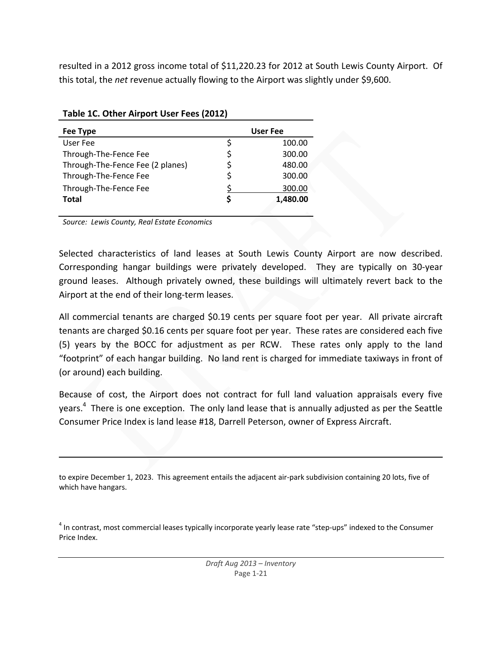resulted in a 2012 gross income total of \$11,220.23 for 2012 at South Lewis County Airport. Of this total, the *net* revenue actually flowing to the Airport was slightly under \$9,600.

| Fee Type                         |    | User Fee |
|----------------------------------|----|----------|
| User Fee                         | S  | 100.00   |
| Through-The-Fence Fee            | \$ | 300.00   |
| Through-The-Fence Fee (2 planes) | S  | 480.00   |
| Through-The-Fence Fee            | \$ | 300.00   |
| Through-The-Fence Fee            |    | 300.00   |
| <b>Total</b>                     | S  | 1,480.00 |

## **Table 1C. Other Airport User Fees (2012)**

*Source: Lewis County, Real Estate Economics*

Selected characteristics of land leases at South Lewis County Airport are now described. Corresponding hangar buildings were privately developed. They are typically on 30‐year ground leases. Although privately owned, these buildings will ultimately revert back to the Airport at the end of their long-term leases.

All commercial tenants are charged \$0.19 cents per square foot per year. All private aircraft tenants are charged \$0.16 cents per square foot per year. These rates are considered each five (5) years by the BOCC for adjustment as per RCW. These rates only apply to the land "footprint" of each hangar building. No land rent is charged for immediate taxiways in front of (or around) each building.

Because of cost, the Airport does not contract for full land valuation appraisals every five years.<sup>4</sup> There is one exception. The only land lease that is annually adjusted as per the Seattle Consumer Price Index is land lease #18, Darrell Peterson, owner of Express Aircraft.

to expire December 1, 2023. This agreement entails the adjacent air-park subdivision containing 20 lots, five of which have hangars.

<sup>4</sup> In contrast, most commercial leases typically incorporate yearly lease rate "step-ups" indexed to the Consumer Price Index.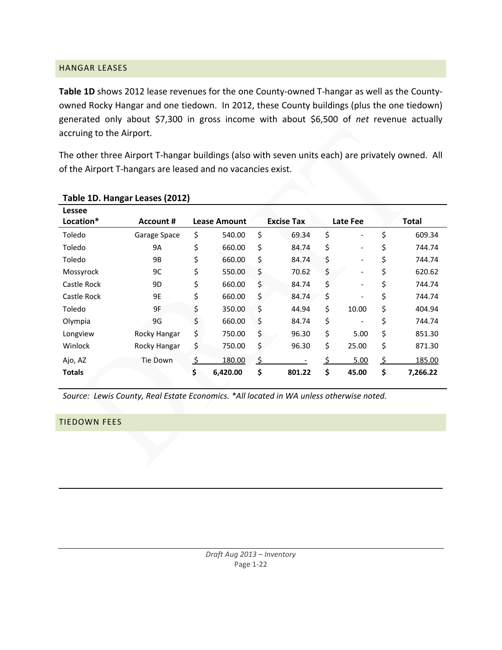### HANGAR LEASES

**Table 1D** shows 2012 lease revenues for the one County‐owned T‐hangar as well as the County‐ owned Rocky Hangar and one tiedown. In 2012, these County buildings (plus the one tiedown) generated only about \$7,300 in gross income with about \$6,500 of *net* revenue actually accruing to the Airport.

The other three Airport T-hangar buildings (also with seven units each) are privately owned. All of the Airport T‐hangars are leased and no vacancies exist.

| Lessee        |              |                     |          |                   |                                |              |          |  |
|---------------|--------------|---------------------|----------|-------------------|--------------------------------|--------------|----------|--|
| Location*     | Account #    | <b>Lease Amount</b> |          | <b>Excise Tax</b> | Late Fee                       | <b>Total</b> |          |  |
| Toledo        | Garage Space | \$                  | 540.00   | \$<br>69.34       | \$<br>$\overline{\phantom{a}}$ | \$           | 609.34   |  |
| Toledo        | <b>9A</b>    | \$                  | 660.00   | \$<br>84.74       | \$<br>$\overline{\phantom{a}}$ | \$           | 744.74   |  |
| Toledo        | 9B           | \$                  | 660.00   | \$<br>84.74       | \$<br>$\overline{\phantom{a}}$ | \$           | 744.74   |  |
| Mossyrock     | 9C           | \$                  | 550.00   | \$<br>70.62       | \$<br>$\overline{\phantom{a}}$ | \$           | 620.62   |  |
| Castle Rock   | 9D           | \$                  | 660.00   | \$<br>84.74       | \$<br>$\overline{\phantom{a}}$ | \$           | 744.74   |  |
| Castle Rock   | 9E           | \$                  | 660.00   | \$<br>84.74       | \$<br>$\overline{\phantom{a}}$ | \$           | 744.74   |  |
| Toledo        | 9F           | \$                  | 350.00   | \$<br>44.94       | \$<br>10.00                    | \$           | 404.94   |  |
| Olympia       | 9G           | \$                  | 660.00   | \$<br>84.74       | \$<br>$\overline{\phantom{a}}$ | \$           | 744.74   |  |
| Longview      | Rocky Hangar | \$                  | 750.00   | \$<br>96.30       | \$<br>5.00                     | \$           | 851.30   |  |
| Winlock       | Rocky Hangar | \$                  | 750.00   | \$<br>96.30       | \$<br>25.00                    | \$           | 871.30   |  |
| Ajo, AZ       | Tie Down     | \$                  | 180.00   | \$                | 5.00                           | \$           | 185.00   |  |
| <b>Totals</b> |              | \$                  | 6,420.00 | \$<br>801.22      | \$<br>45.00                    | \$           | 7,266.22 |  |

## **Table 1D. Hangar Leases (2012)**

*Source: Lewis County, Real Estate Economics. \*All located in WA unless otherwise noted.*

#### TIEDOWN FEES

<u> 1989 - Johann Stein, marwolaethau a cyfeiliad y cyfeiliad a gynydd a gynydd a gynydd a gynydd a gynydd a gyn</u>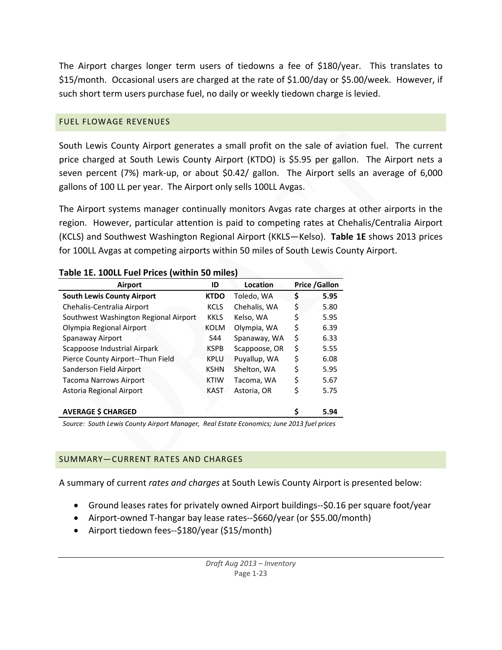The Airport charges longer term users of tiedowns a fee of \$180/year. This translates to \$15/month. Occasional users are charged at the rate of \$1.00/day or \$5.00/week. However, if such short term users purchase fuel, no daily or weekly tiedown charge is levied.

## FUEL FLOWAGE REVENUES

South Lewis County Airport generates a small profit on the sale of aviation fuel. The current price charged at South Lewis County Airport (KTDO) is \$5.95 per gallon. The Airport nets a seven percent (7%) mark-up, or about \$0.42/ gallon. The Airport sells an average of 6,000 gallons of 100 LL per year. The Airport only sells 100LL Avgas.

The Airport systems manager continually monitors Avgas rate charges at other airports in the region. However, particular attention is paid to competing rates at Chehalis/Centralia Airport (KCLS) and Southwest Washington Regional Airport (KKLS—Kelso). **Table 1E** shows 2013 prices for 100LL Avgas at competing airports within 50 miles of South Lewis County Airport.

| Airport                               | ID          | Location      | <b>Price /Gallon</b> |
|---------------------------------------|-------------|---------------|----------------------|
| <b>South Lewis County Airport</b>     | <b>KTDO</b> | Toledo, WA    | \$<br>5.95           |
| Chehalis-Centralia Airport            | <b>KCLS</b> | Chehalis, WA  | \$<br>5.80           |
| Southwest Washington Regional Airport | <b>KKLS</b> | Kelso, WA     | \$<br>5.95           |
| Olympia Regional Airport              | <b>KOLM</b> | Olympia, WA   | \$<br>6.39           |
| Spanaway Airport                      | S44         | Spanaway, WA  | \$<br>6.33           |
| Scappoose Industrial Airpark          | <b>KSPB</b> | Scappoose, OR | \$<br>5.55           |
| Pierce County Airport--Thun Field     | <b>KPLU</b> | Puyallup, WA  | \$<br>6.08           |
| Sanderson Field Airport               | <b>KSHN</b> | Shelton, WA   | \$<br>5.95           |
| <b>Tacoma Narrows Airport</b>         | <b>KTIW</b> | Tacoma, WA    | \$<br>5.67           |
| Astoria Regional Airport              | <b>KAST</b> | Astoria, OR   | \$<br>5.75           |
|                                       |             |               |                      |
| <b>AVERAGE \$ CHARGED</b>             |             |               | \$<br>5.94           |

#### **Table 1E. 100LL Fuel Prices (within 50 miles)**

*Source: South Lewis County Airport Manager, Real Estate Economics; June 2013 fuel prices*

## SUMMARY—CURRENT RATES AND CHARGES

A summary of current *rates and charges* at South Lewis County Airport is presented below:

- Ground leases rates for privately owned Airport buildings‐‐\$0.16 per square foot/year
- Airport‐owned T‐hangar bay lease rates‐‐\$660/year (or \$55.00/month)
- Airport tiedown fees--\$180/year (\$15/month)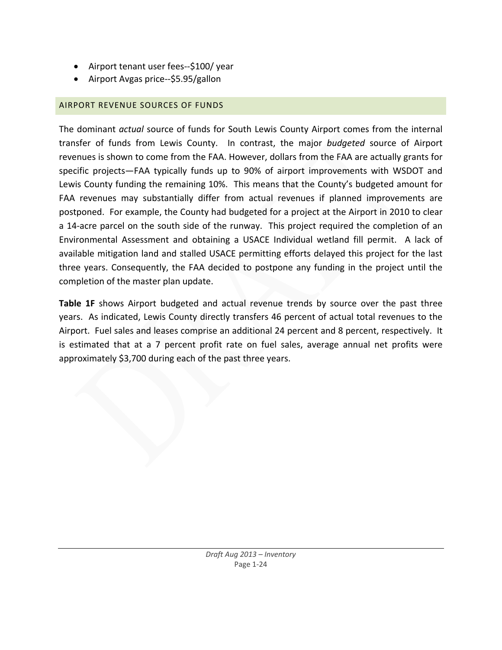- Airport tenant user fees--\$100/ year
- Airport Avgas price--\$5.95/gallon

# AIRPORT REVENUE SOURCES OF FUNDS

The dominant *actual* source of funds for South Lewis County Airport comes from the internal transfer of funds from Lewis County. In contrast, the major *budgeted* source of Airport revenues is shown to come from the FAA. However, dollars from the FAA are actually grants for specific projects—FAA typically funds up to 90% of airport improvements with WSDOT and Lewis County funding the remaining 10%. This means that the County's budgeted amount for FAA revenues may substantially differ from actual revenues if planned improvements are postponed. For example, the County had budgeted for a project at the Airport in 2010 to clear a 14‐acre parcel on the south side of the runway. This project required the completion of an Environmental Assessment and obtaining a USACE Individual wetland fill permit. A lack of available mitigation land and stalled USACE permitting efforts delayed this project for the last three years. Consequently, the FAA decided to postpone any funding in the project until the completion of the master plan update.

**Table 1F** shows Airport budgeted and actual revenue trends by source over the past three years. As indicated, Lewis County directly transfers 46 percent of actual total revenues to the Airport. Fuel sales and leases comprise an additional 24 percent and 8 percent, respectively. It is estimated that at a 7 percent profit rate on fuel sales, average annual net profits were approximately \$3,700 during each of the past three years.